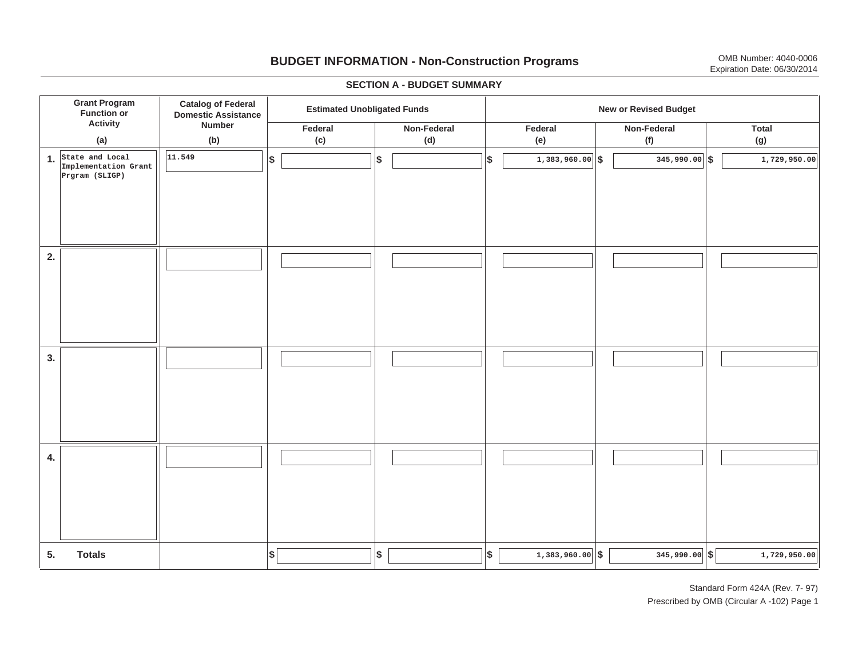# **BUDGET INFORMATION - Non-Construction Programs** OMB Number: 4040-0006 Expiration Date: 06/30/2014

**\$ Grant Program Function or Activity (a) Catalog of Federal Domestic Assistance Number (b) Estimated Unobligated Funds New or Revised Budget Federal(c) Non-Federal(d) Federal(e) Non-Federal (f) Total(g) 5. Totals4. 3. 2. 1.State and Local \$\$\$\$ \$ \$ \$ \$ \$ 1,383,960.00 345,990.00 1,729,950.00** I I I I I I I I I **Implementation Grant Prgram (SLIGP) 11.5491,383,960.00 5 1,383,960.00 5 1,729,950.00 5 1,729,950.00** I I I I I I I I I I I I I I I I I I I I I I I I I I I I I I I I I I I I I I I I I I I I

#### **SECTION A - BUDGET SUMMARY**

Standard Form 424A (Rev. 7- 97) Prescribed by OMB (Circular A -102) Page 1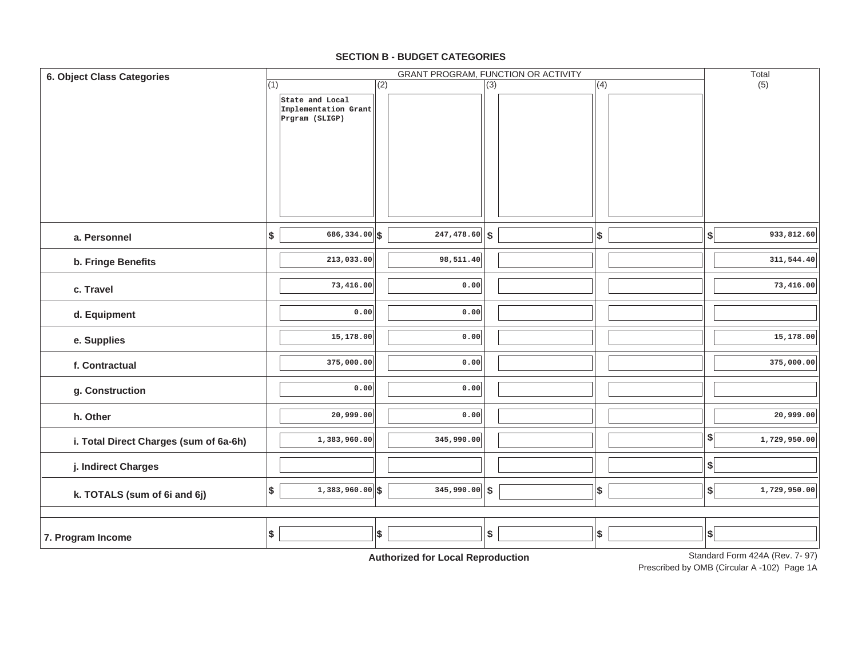| <b>6. Object Class Categories</b>      |     |                                                           |     |                                   |     | GRANT PROGRAM, FUNCTION OR ACTIVITY |                              | Total                          |
|----------------------------------------|-----|-----------------------------------------------------------|-----|-----------------------------------|-----|-------------------------------------|------------------------------|--------------------------------|
|                                        | (1) |                                                           | (2) |                                   | (3) | (4)                                 |                              | (5)                            |
|                                        |     | State and Local<br>Implementation Grant<br>Prgram (SLIGP) |     |                                   |     |                                     |                              |                                |
| a. Personnel                           | \$  | 686,334.00 \$                                             |     | $\overline{247, 478.60}$ \$       |     | $\frac{1}{2}$                       | $\left  \frac{1}{2} \right $ | 933,812.60                     |
| b. Fringe Benefits                     |     | 213,033.00                                                |     | 98,511.40                         |     |                                     |                              | 311,544.40                     |
| c. Travel                              |     | 73,416.00                                                 |     | 0.00                              |     |                                     |                              | 73,416.00                      |
| d. Equipment                           |     | 0.00                                                      |     | 0.00                              |     |                                     |                              |                                |
| e. Supplies                            |     | 15,178.00                                                 |     | 0.00                              |     |                                     |                              | 15,178.00                      |
| f. Contractual                         |     | 375,000.00                                                |     | 0.00                              |     |                                     |                              | 375,000.00                     |
| g. Construction                        |     | 0.00                                                      |     | 0.00                              |     |                                     |                              |                                |
| h. Other                               |     | 20,999.00                                                 |     | 0.00                              |     |                                     |                              | 20,999.00                      |
| i. Total Direct Charges (sum of 6a-6h) |     | 1,383,960.00                                              |     | 345,990.00                        |     |                                     | \$                           | 1,729,950.00                   |
| j. Indirect Charges                    |     |                                                           |     |                                   |     |                                     | $\boldsymbol{\$}$            |                                |
| k. TOTALS (sum of 6i and 6j)           | \$  | $1,383,960.00$ \$                                         |     | $345,990.00$ \$                   |     | \$                                  | $\left  \right\rangle$       | 1,729,950.00                   |
| 7. Program Income                      | \$  |                                                           | \$  | Authorized for Local Reproduction | \$  | $\sqrt{2}$                          | $\boldsymbol{\mathsf{s}}$    | Standard Form 424A (Rev. 7-97) |

#### **SECTION B - BUDGET CATEGORIES**

Prescribed by OMB (Circular A -102) Page 1A

**Authorized for Local Reproduction**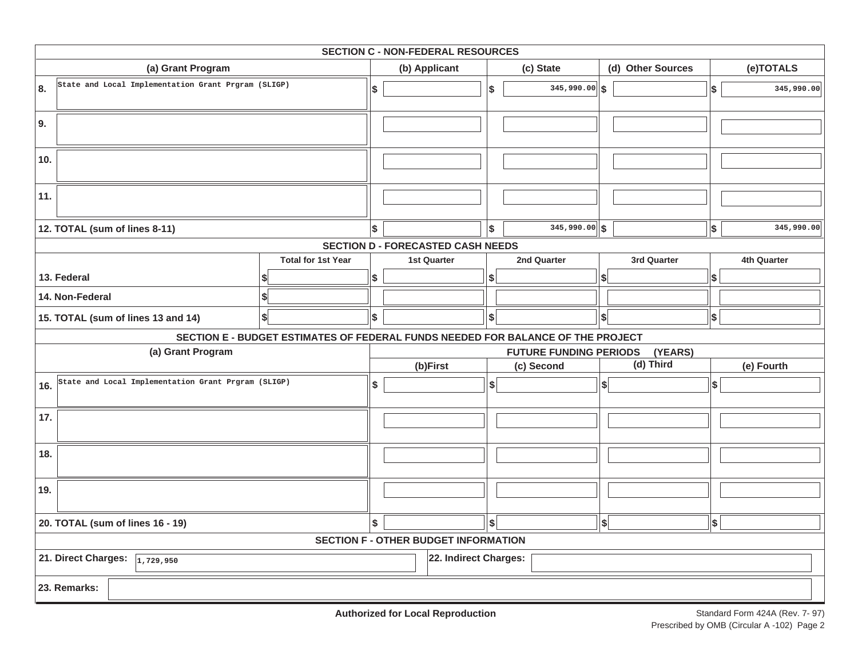|                                          | <b>SECTION C - NON-FEDERAL RESOURCES</b>                        |                                                                                 |                           |                                             |                     |                               |                              |                           |             |
|------------------------------------------|-----------------------------------------------------------------|---------------------------------------------------------------------------------|---------------------------|---------------------------------------------|---------------------|-------------------------------|------------------------------|---------------------------|-------------|
|                                          | (a) Grant Program                                               |                                                                                 |                           | (b) Applicant                               |                     | (c) State                     | (d) Other Sources            |                           | (e)TOTALS   |
| 8.                                       | State and Local Implementation Grant Prgram (SLIGP)             |                                                                                 | Ι\$                       |                                             | \$                  | $345,990.00$ \$               |                              | $\boldsymbol{\mathsf{s}}$ | 345,990.00  |
| 9.                                       |                                                                 |                                                                                 |                           |                                             |                     |                               |                              |                           |             |
| 10.                                      |                                                                 |                                                                                 |                           |                                             |                     |                               |                              |                           |             |
| 11.                                      |                                                                 |                                                                                 |                           |                                             |                     |                               |                              |                           |             |
|                                          | 12. TOTAL (sum of lines 8-11)                                   |                                                                                 | $\boldsymbol{\mathsf{s}}$ |                                             | l\$                 | $345,990.00$ \$               |                              | $\vert$ \$                | 345,990.00  |
| <b>SECTION D - FORECASTED CASH NEEDS</b> |                                                                 |                                                                                 |                           |                                             |                     |                               |                              |                           |             |
|                                          |                                                                 | <b>Total for 1st Year</b>                                                       |                           | <b>1st Quarter</b>                          |                     | 2nd Quarter                   | 3rd Quarter                  |                           | 4th Quarter |
|                                          | 13. Federal                                                     |                                                                                 | \$                        |                                             | \$                  |                               | \$                           | \$                        |             |
|                                          | 14. Non-Federal                                                 | \$                                                                              |                           |                                             |                     |                               |                              |                           |             |
|                                          | 15. TOTAL (sum of lines 13 and 14)                              | \$                                                                              | \$                        |                                             | \$                  |                               | $\left  \mathbf{S} \right $  | $\vert$ \$                |             |
|                                          |                                                                 | SECTION E - BUDGET ESTIMATES OF FEDERAL FUNDS NEEDED FOR BALANCE OF THE PROJECT |                           |                                             |                     |                               |                              |                           |             |
|                                          | (a) Grant Program                                               |                                                                                 |                           |                                             |                     | <b>FUTURE FUNDING PERIODS</b> | (YEARS)                      |                           |             |
|                                          |                                                                 |                                                                                 |                           | (b)First                                    |                     | (c) Second                    | (d) Third                    |                           | (e) Fourth  |
| 16.                                      | State and Local Implementation Grant Prgram (SLIGP)             |                                                                                 | \$                        |                                             | $ \boldsymbol{\$} $ |                               | $\left  \frac{1}{2} \right $ | \$                        |             |
| 17.                                      |                                                                 |                                                                                 |                           |                                             |                     |                               |                              |                           |             |
| 18.                                      |                                                                 |                                                                                 |                           |                                             |                     |                               |                              |                           |             |
| 19.                                      |                                                                 |                                                                                 |                           |                                             |                     |                               |                              |                           |             |
| 20. TOTAL (sum of lines 16 - 19)         |                                                                 | \$                                                                              |                           | $ \boldsymbol{\$} $                         |                     | $\left  \frac{1}{2} \right $  | \$                           |                           |             |
|                                          |                                                                 |                                                                                 |                           | <b>SECTION F - OTHER BUDGET INFORMATION</b> |                     |                               |                              |                           |             |
|                                          | 21. Direct Charges: $\sqrt{1,729,950}$<br>22. Indirect Charges: |                                                                                 |                           |                                             |                     |                               |                              |                           |             |
|                                          | 23. Remarks:                                                    |                                                                                 |                           |                                             |                     |                               |                              |                           |             |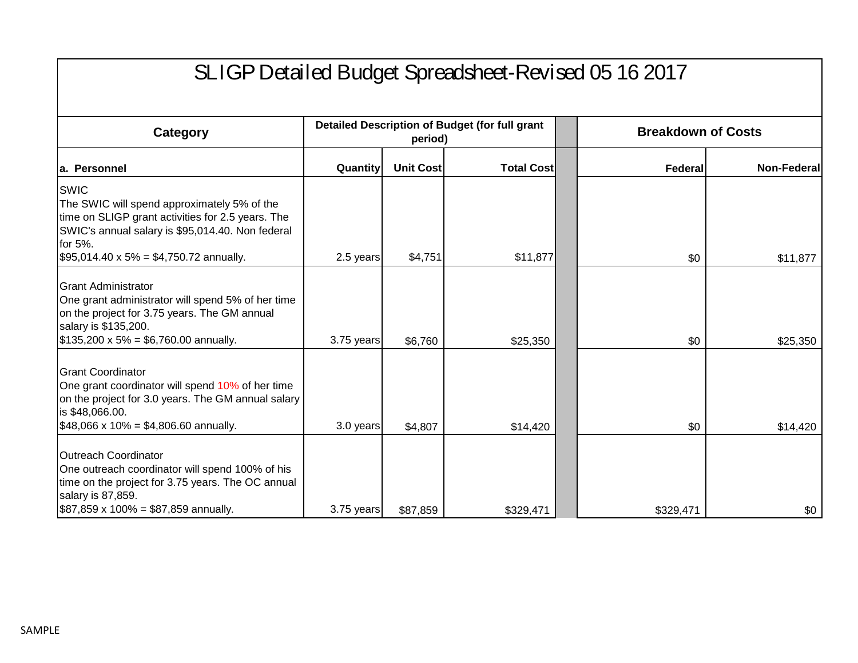|                                                                                                                                                                                                                                 |            |                  |                                                | SLIGP Detailed Budget Spreadsheet-Revised 05 16 2017 |             |     |
|---------------------------------------------------------------------------------------------------------------------------------------------------------------------------------------------------------------------------------|------------|------------------|------------------------------------------------|------------------------------------------------------|-------------|-----|
| Category                                                                                                                                                                                                                        |            | period)          | Detailed Description of Budget (for full grant | <b>Breakdown of Costs</b>                            |             |     |
| a. Personnel                                                                                                                                                                                                                    | Quantity   | <b>Unit Cost</b> | <b>Total Cost</b>                              | Federal                                              | Non-Federal |     |
| <b>SWIC</b><br>The SWIC will spend approximately 5% of the<br>time on SLIGP grant activities for 2.5 years. The<br>SWIC's annual salary is \$95,014.40. Non federal<br>for 5%.<br>$$95,014.40 \times 5\% = $4,750.72$ annually. | 2.5 years  | \$4,751          | \$11,877                                       | \$0                                                  | \$11,877    |     |
| <b>Grant Administrator</b><br>One grant administrator will spend 5% of her time<br>on the project for 3.75 years. The GM annual<br>salary is \$135,200.<br>$$135,200 \times 5\% = $6,760.00$ annually.                          | 3.75 years | \$6,760          | \$25,350                                       | \$0                                                  | \$25,350    |     |
| <b>Grant Coordinator</b><br>One grant coordinator will spend 10% of her time<br>on the project for 3.0 years. The GM annual salary<br>is \$48,066.00.<br>$$48,066 \times 10\% = $4,806.60$ annually.                            | 3.0 years  | \$4,807          | \$14,420                                       | \$0                                                  | \$14,420    |     |
| Outreach Coordinator<br>One outreach coordinator will spend 100% of his<br>time on the project for 3.75 years. The OC annual<br>salary is 87,859.<br>$$87,859 \times 100\% = $87,859$ annually.                                 | 3.75 years | \$87,859         | \$329,471                                      | \$329,471                                            |             | \$0 |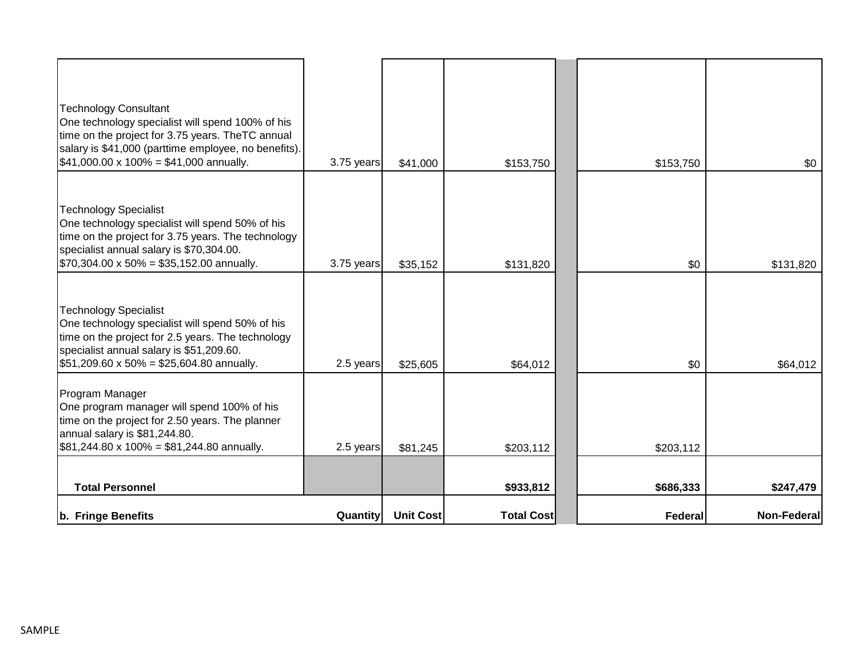| <b>Technology Consultant</b><br>One technology specialist will spend 100% of his<br>time on the project for 3.75 years. TheTC annual<br>salary is \$41,000 (parttime employee, no benefits).<br>$$41,000.00 \times 100\% = $41,000$ annually. | 3.75 years      | \$41,000         | \$153,750         | \$153,750      | \$0         |
|-----------------------------------------------------------------------------------------------------------------------------------------------------------------------------------------------------------------------------------------------|-----------------|------------------|-------------------|----------------|-------------|
| <b>Technology Specialist</b><br>One technology specialist will spend 50% of his<br>time on the project for 3.75 years. The technology<br>specialist annual salary is \$70,304.00.<br>$$70,304.00 \times 50\% = $35,152.00$ annually.          | 3.75 years      | \$35,152         | \$131,820         | \$0            | \$131,820   |
| <b>Technology Specialist</b><br>One technology specialist will spend 50% of his<br>time on the project for 2.5 years. The technology<br>specialist annual salary is \$51,209.60.<br>$$51,209.60 \times 50\% = $25,604.80$ annually.           | 2.5 years       | \$25,605         | \$64,012          | \$0            | \$64,012    |
| Program Manager<br>One program manager will spend 100% of his<br>time on the project for 2.50 years. The planner<br>annual salary is \$81,244.80.<br>$$81,244.80 \times 100\% = $81,244.80$ annually.                                         | 2.5 years       | \$81,245         | \$203,112         | \$203,112      |             |
| <b>Total Personnel</b>                                                                                                                                                                                                                        |                 |                  | \$933,812         | \$686,333      | \$247,479   |
| b. Fringe Benefits                                                                                                                                                                                                                            | <b>Quantity</b> | <b>Unit Cost</b> | <b>Total Cost</b> | <b>Federal</b> | Non-Federal |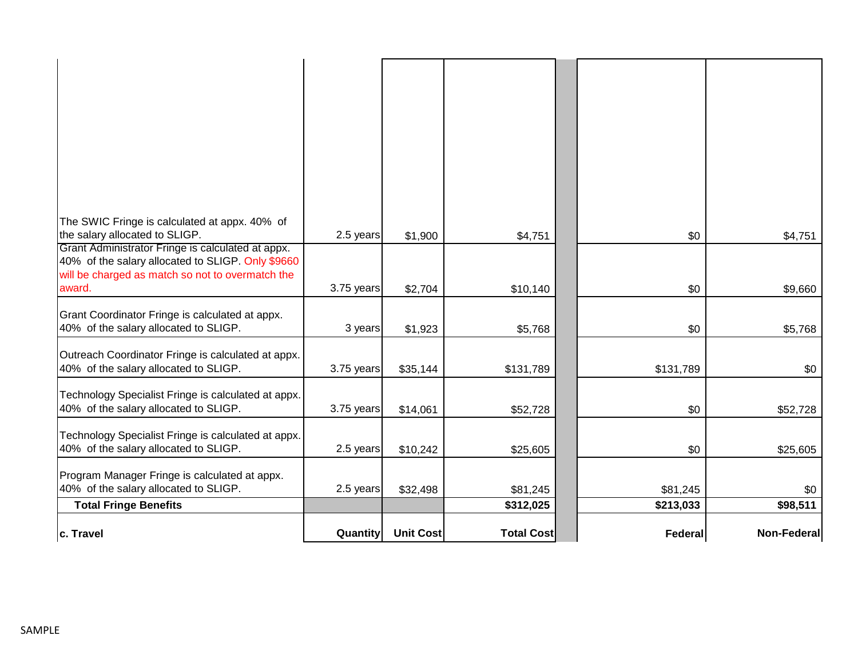| <b>Total Fringe Benefits</b>                                                                                                                                                       | \$81,245<br>\$312,025 | \$81,245<br>\$213,033 | \$0<br>\$98,511 |
|------------------------------------------------------------------------------------------------------------------------------------------------------------------------------------|-----------------------|-----------------------|-----------------|
|                                                                                                                                                                                    |                       |                       |                 |
| Program Manager Fringe is calculated at appx.<br>40% of the salary allocated to SLIGP.<br>2.5 years<br>\$32,498                                                                    |                       |                       |                 |
| Technology Specialist Fringe is calculated at appx.<br>40% of the salary allocated to SLIGP.<br>2.5 years<br>\$10,242                                                              | \$25,605              | \$0                   | \$25,605        |
| Technology Specialist Fringe is calculated at appx.<br>40% of the salary allocated to SLIGP.<br>3.75 years<br>\$14,061                                                             | \$52,728              | \$0                   | \$52,728        |
| Outreach Coordinator Fringe is calculated at appx.<br>40% of the salary allocated to SLIGP.<br>3.75 years<br>\$35,144                                                              | \$131,789             | \$131,789             | \$0             |
| Grant Coordinator Fringe is calculated at appx.<br>40% of the salary allocated to SLIGP.<br>3 years                                                                                | \$1,923<br>\$5,768    | \$0                   | \$5,768         |
| Grant Administrator Fringe is calculated at appx.<br>40% of the salary allocated to SLIGP. Only \$9660<br>will be charged as match so not to overmatch the<br>award.<br>3.75 years | \$2,704<br>\$10,140   | \$0                   | \$9,660         |
| The SWIC Fringe is calculated at appx. 40% of<br>the salary allocated to SLIGP.<br>2.5 years                                                                                       | \$1,900<br>\$4,751    | \$0                   | \$4,751         |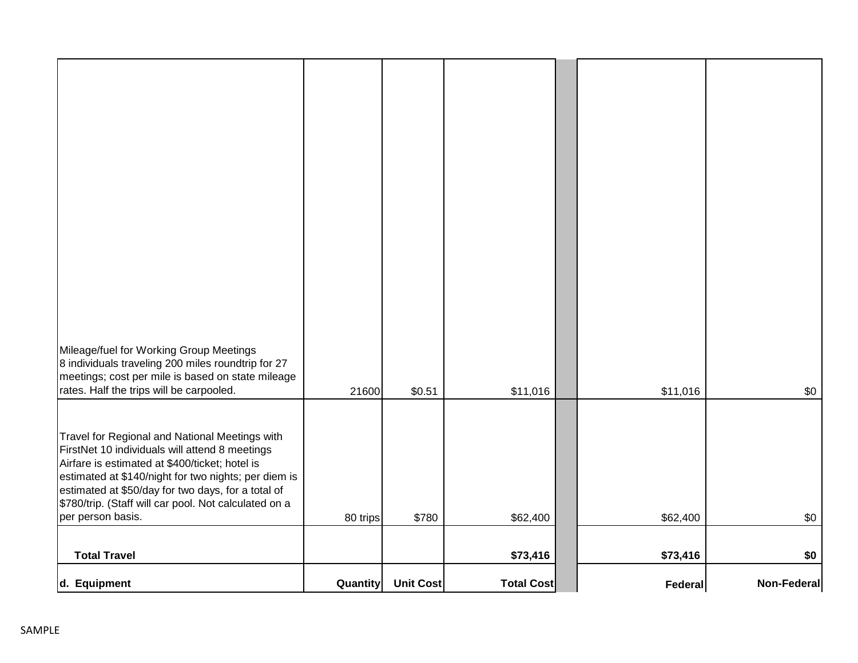| d. Equipment                                                                                                                                                                                                                                                                                                                                   | Quantity | <b>Unit Cost</b> | <b>Total Cost</b> | Federal  | <b>Non-Federal</b> |
|------------------------------------------------------------------------------------------------------------------------------------------------------------------------------------------------------------------------------------------------------------------------------------------------------------------------------------------------|----------|------------------|-------------------|----------|--------------------|
| <b>Total Travel</b>                                                                                                                                                                                                                                                                                                                            |          |                  | \$73,416          | \$73,416 | \$0                |
| Travel for Regional and National Meetings with<br>FirstNet 10 individuals will attend 8 meetings<br>Airfare is estimated at \$400/ticket; hotel is<br>estimated at \$140/night for two nights; per diem is<br>estimated at \$50/day for two days, for a total of<br>\$780/trip. (Staff will car pool. Not calculated on a<br>per person basis. | 80 trips | \$780            | \$62,400          | \$62,400 | \$0                |
| Mileage/fuel for Working Group Meetings<br>8 individuals traveling 200 miles roundtrip for 27<br>meetings; cost per mile is based on state mileage<br>rates. Half the trips will be carpooled.                                                                                                                                                 | 21600    | \$0.51           | \$11,016          | \$11,016 | \$0                |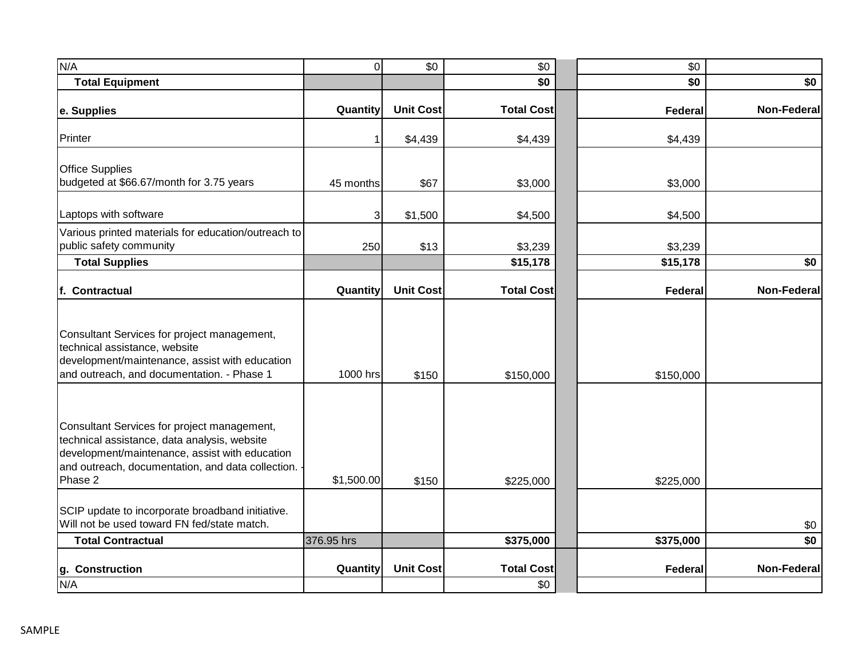| N/A                                                                                                                                                                                                           | $\overline{0}$ | \$0              | \$0               | \$0       |                    |
|---------------------------------------------------------------------------------------------------------------------------------------------------------------------------------------------------------------|----------------|------------------|-------------------|-----------|--------------------|
| <b>Total Equipment</b>                                                                                                                                                                                        |                |                  | \$0               | \$0       | \$0                |
| e. Supplies                                                                                                                                                                                                   | Quantity       | <b>Unit Cost</b> | <b>Total Cost</b> | Federal   | <b>Non-Federal</b> |
| Printer                                                                                                                                                                                                       |                | \$4,439          | \$4,439           | \$4,439   |                    |
| <b>Office Supplies</b><br>budgeted at \$66.67/month for 3.75 years                                                                                                                                            | 45 months      | \$67             | \$3,000           | \$3,000   |                    |
| Laptops with software                                                                                                                                                                                         | 3              | \$1,500          | \$4,500           | \$4,500   |                    |
| Various printed materials for education/outreach to<br>public safety community                                                                                                                                | 250            | \$13             | \$3,239           | \$3,239   |                    |
| <b>Total Supplies</b>                                                                                                                                                                                         |                |                  | \$15,178          | \$15,178  | \$0                |
| f. Contractual                                                                                                                                                                                                | Quantity       | <b>Unit Cost</b> | <b>Total Cost</b> | Federal   | Non-Federal        |
| Consultant Services for project management,<br>technical assistance, website<br>development/maintenance, assist with education<br>and outreach, and documentation. - Phase 1                                  | 1000 hrs       | \$150            | \$150,000         | \$150,000 |                    |
| Consultant Services for project management,<br>technical assistance, data analysis, website<br>development/maintenance, assist with education<br>and outreach, documentation, and data collection.<br>Phase 2 | \$1,500.00     | \$150            | \$225,000         | \$225,000 |                    |
| SCIP update to incorporate broadband initiative.<br>Will not be used toward FN fed/state match.                                                                                                               |                |                  |                   |           | \$0                |
| <b>Total Contractual</b>                                                                                                                                                                                      | 376.95 hrs     |                  | \$375,000         | \$375,000 | \$0                |
| g. Construction                                                                                                                                                                                               | Quantity       | <b>Unit Cost</b> | <b>Total Cost</b> | Federal   | <b>Non-Federal</b> |
| N/A                                                                                                                                                                                                           |                |                  | \$0               |           |                    |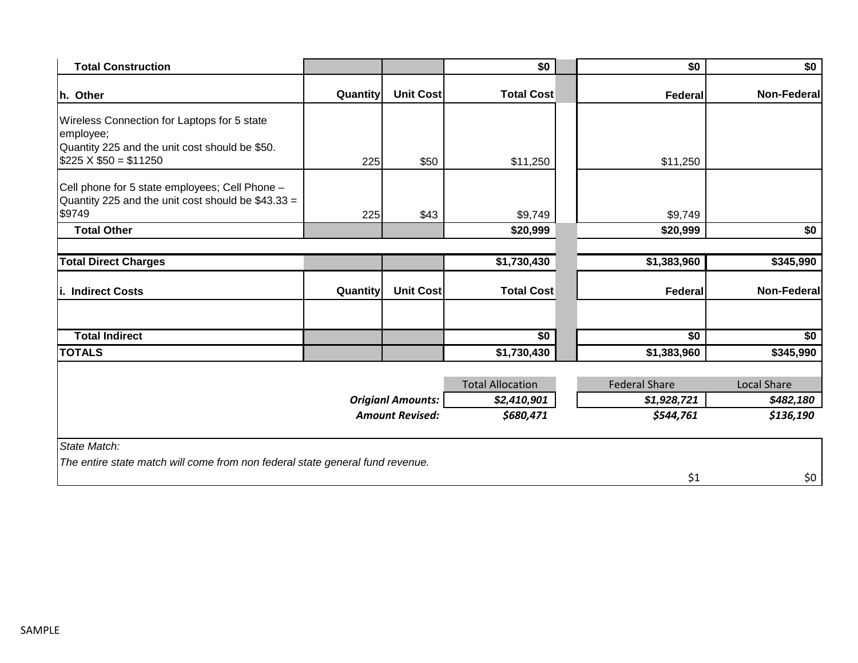| <b>Total Construction</b>                                                                            |          |                          | \$0                     | \$0                  | \$0                |
|------------------------------------------------------------------------------------------------------|----------|--------------------------|-------------------------|----------------------|--------------------|
| h. Other                                                                                             | Quantity | <b>Unit Cost</b>         | <b>Total Cost</b>       | Federal              | <b>Non-Federal</b> |
| Wireless Connection for Laptops for 5 state<br>employee;                                             |          |                          |                         |                      |                    |
| Quantity 225 and the unit cost should be \$50.<br>$$225 \times $50 = $11250$                         | 225      | \$50                     | \$11,250                | \$11,250             |                    |
| Cell phone for 5 state employees; Cell Phone -<br>Quantity 225 and the unit cost should be \$43.33 = |          |                          |                         |                      |                    |
| \$9749                                                                                               | 225      | \$43                     | \$9,749                 | \$9,749              |                    |
| <b>Total Other</b>                                                                                   |          |                          | \$20,999                | \$20,999             | \$0                |
|                                                                                                      |          |                          |                         |                      |                    |
| <b>Total Direct Charges</b>                                                                          |          |                          | \$1,730,430             | \$1,383,960          | \$345,990          |
| <b>Indirect Costs</b><br>İ.                                                                          | Quantity | <b>Unit Cost</b>         | <b>Total Cost</b>       | Federal              | <b>Non-Federal</b> |
| <b>Total Indirect</b>                                                                                |          |                          | \$0                     | $\overline{50}$      | $\overline{50}$    |
| <b>TOTALS</b>                                                                                        |          |                          | \$1,730,430             | \$1,383,960          | \$345,990          |
|                                                                                                      |          |                          |                         |                      |                    |
|                                                                                                      |          |                          | <b>Total Allocation</b> | <b>Federal Share</b> | <b>Local Share</b> |
|                                                                                                      |          | <b>Origianl Amounts:</b> | \$2,410,901             | \$1,928,721          | \$482,180          |
|                                                                                                      |          | <b>Amount Revised:</b>   | \$680,471               | \$544,761            | \$136,190          |
| State Match:                                                                                         |          |                          |                         |                      |                    |
| The entire state match will come from non federal state general fund revenue.                        |          |                          |                         |                      |                    |
|                                                                                                      |          |                          |                         | \$1                  | \$0                |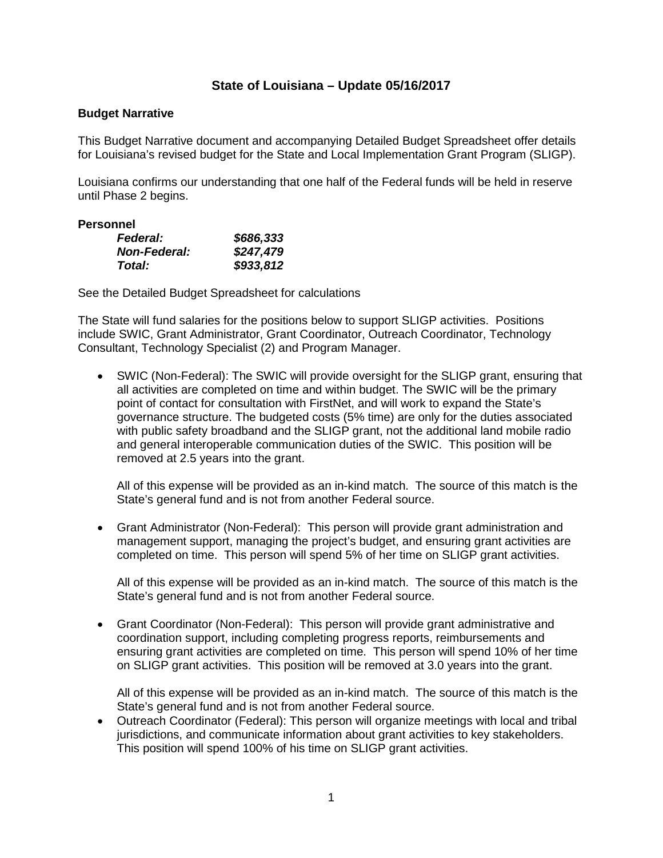# **State of Louisiana – Update 05/16/2017**

### **Budget Narrative**

This Budget Narrative document and accompanying Detailed Budget Spreadsheet offer details for Louisiana's revised budget for the State and Local Implementation Grant Program (SLIGP).

Louisiana confirms our understanding that one half of the Federal funds will be held in reserve until Phase 2 begins.

#### **Personnel**

| <b>Federal:</b>      | \$686,333 |
|----------------------|-----------|
| <b>Non-Federal:</b>  | \$247,479 |
| <i><b>Total:</b></i> | \$933,812 |

See the Detailed Budget Spreadsheet for calculations

The State will fund salaries for the positions below to support SLIGP activities. Positions include SWIC, Grant Administrator, Grant Coordinator, Outreach Coordinator, Technology Consultant, Technology Specialist (2) and Program Manager.

• SWIC (Non-Federal): The SWIC will provide oversight for the SLIGP grant, ensuring that all activities are completed on time and within budget. The SWIC will be the primary point of contact for consultation with FirstNet, and will work to expand the State's governance structure. The budgeted costs (5% time) are only for the duties associated with public safety broadband and the SLIGP grant, not the additional land mobile radio and general interoperable communication duties of the SWIC. This position will be removed at 2.5 years into the grant.

All of this expense will be provided as an in-kind match. The source of this match is the State's general fund and is not from another Federal source.

• Grant Administrator (Non-Federal): This person will provide grant administration and management support, managing the project's budget, and ensuring grant activities are completed on time. This person will spend 5% of her time on SLIGP grant activities.

All of this expense will be provided as an in-kind match. The source of this match is the State's general fund and is not from another Federal source.

• Grant Coordinator (Non-Federal): This person will provide grant administrative and coordination support, including completing progress reports, reimbursements and ensuring grant activities are completed on time. This person will spend 10% of her time on SLIGP grant activities. This position will be removed at 3.0 years into the grant.

All of this expense will be provided as an in-kind match. The source of this match is the State's general fund and is not from another Federal source.

• Outreach Coordinator (Federal): This person will organize meetings with local and tribal jurisdictions, and communicate information about grant activities to key stakeholders. This position will spend 100% of his time on SLIGP grant activities.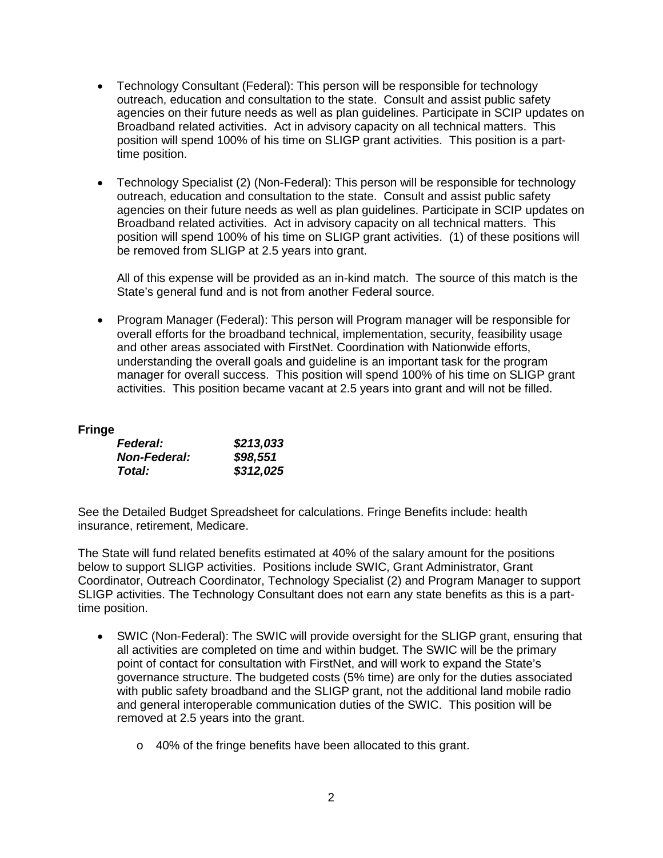- Technology Consultant (Federal): This person will be responsible for technology outreach, education and consultation to the state. Consult and assist public safety agencies on their future needs as well as plan guidelines. Participate in SCIP updates on Broadband related activities. Act in advisory capacity on all technical matters. This position will spend 100% of his time on SLIGP grant activities. This position is a parttime position.
- Technology Specialist (2) (Non-Federal): This person will be responsible for technology outreach, education and consultation to the state. Consult and assist public safety agencies on their future needs as well as plan guidelines. Participate in SCIP updates on Broadband related activities. Act in advisory capacity on all technical matters. This position will spend 100% of his time on SLIGP grant activities. (1) of these positions will be removed from SLIGP at 2.5 years into grant.

All of this expense will be provided as an in-kind match. The source of this match is the State's general fund and is not from another Federal source.

• Program Manager (Federal): This person will Program manager will be responsible for overall efforts for the broadband technical, implementation, security, feasibility usage and other areas associated with FirstNet. Coordination with Nationwide efforts, understanding the overall goals and guideline is an important task for the program manager for overall success. This position will spend 100% of his time on SLIGP grant activities. This position became vacant at 2.5 years into grant and will not be filled.

## **Fringe**

| <i><b>Federal:</b></i> | \$213,033 |
|------------------------|-----------|
| <b>Non-Federal:</b>    | \$98,551  |
| Total:                 | \$312,025 |

See the Detailed Budget Spreadsheet for calculations. Fringe Benefits include: health insurance, retirement, Medicare.

The State will fund related benefits estimated at 40% of the salary amount for the positions below to support SLIGP activities. Positions include SWIC, Grant Administrator, Grant Coordinator, Outreach Coordinator, Technology Specialist (2) and Program Manager to support SLIGP activities. The Technology Consultant does not earn any state benefits as this is a parttime position.

- SWIC (Non-Federal): The SWIC will provide oversight for the SLIGP grant, ensuring that all activities are completed on time and within budget. The SWIC will be the primary point of contact for consultation with FirstNet, and will work to expand the State's governance structure. The budgeted costs (5% time) are only for the duties associated with public safety broadband and the SLIGP grant, not the additional land mobile radio and general interoperable communication duties of the SWIC. This position will be removed at 2.5 years into the grant.
	- o 40% of the fringe benefits have been allocated to this grant.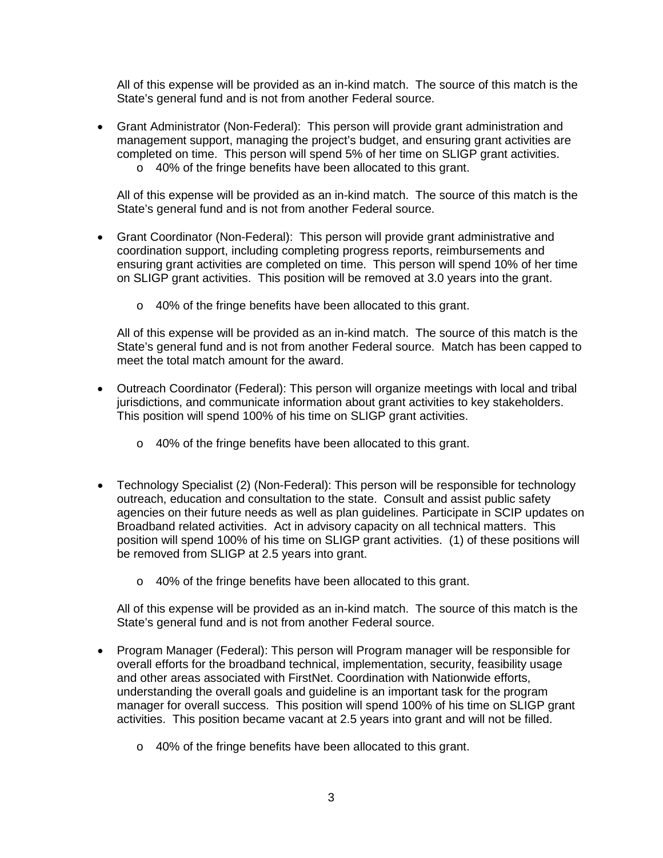All of this expense will be provided as an in-kind match. The source of this match is the State's general fund and is not from another Federal source.

• Grant Administrator (Non-Federal): This person will provide grant administration and management support, managing the project's budget, and ensuring grant activities are completed on time. This person will spend 5% of her time on SLIGP grant activities. o 40% of the fringe benefits have been allocated to this grant.

All of this expense will be provided as an in-kind match. The source of this match is the State's general fund and is not from another Federal source.

- Grant Coordinator (Non-Federal): This person will provide grant administrative and coordination support, including completing progress reports, reimbursements and ensuring grant activities are completed on time. This person will spend 10% of her time on SLIGP grant activities. This position will be removed at 3.0 years into the grant.
	- o 40% of the fringe benefits have been allocated to this grant.

All of this expense will be provided as an in-kind match. The source of this match is the State's general fund and is not from another Federal source. Match has been capped to meet the total match amount for the award.

- Outreach Coordinator (Federal): This person will organize meetings with local and tribal jurisdictions, and communicate information about grant activities to key stakeholders. This position will spend 100% of his time on SLIGP grant activities.
	- o 40% of the fringe benefits have been allocated to this grant.
- Technology Specialist (2) (Non-Federal): This person will be responsible for technology outreach, education and consultation to the state. Consult and assist public safety agencies on their future needs as well as plan guidelines. Participate in SCIP updates on Broadband related activities. Act in advisory capacity on all technical matters. This position will spend 100% of his time on SLIGP grant activities. (1) of these positions will be removed from SLIGP at 2.5 years into grant.
	- o 40% of the fringe benefits have been allocated to this grant.

All of this expense will be provided as an in-kind match. The source of this match is the State's general fund and is not from another Federal source.

- Program Manager (Federal): This person will Program manager will be responsible for overall efforts for the broadband technical, implementation, security, feasibility usage and other areas associated with FirstNet. Coordination with Nationwide efforts, understanding the overall goals and guideline is an important task for the program manager for overall success. This position will spend 100% of his time on SLIGP grant activities. This position became vacant at 2.5 years into grant and will not be filled.
	- o 40% of the fringe benefits have been allocated to this grant.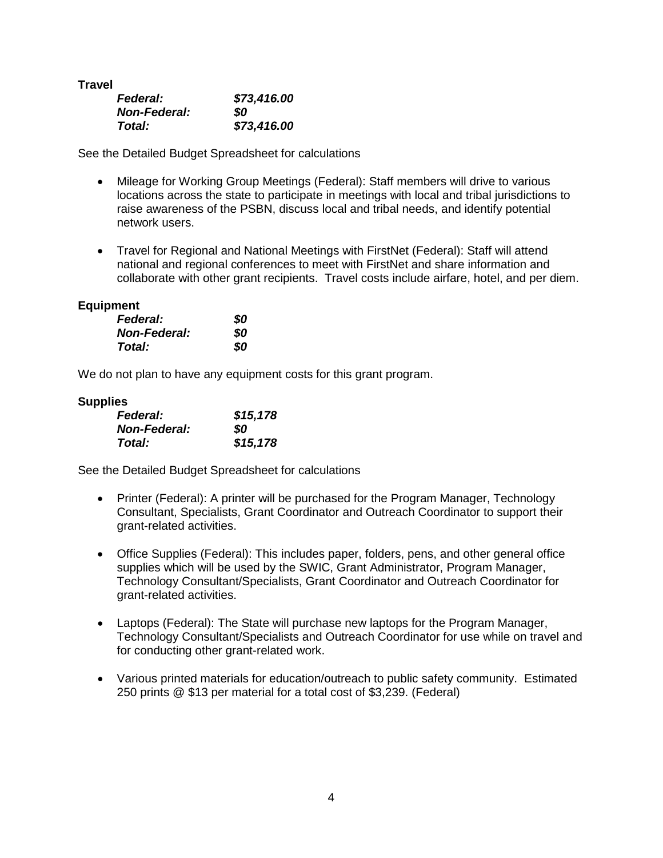**Travel**

| \$73,416.00 |
|-------------|
| 80          |
| \$73,416.00 |
|             |

See the Detailed Budget Spreadsheet for calculations

- Mileage for Working Group Meetings (Federal): Staff members will drive to various locations across the state to participate in meetings with local and tribal jurisdictions to raise awareness of the PSBN, discuss local and tribal needs, and identify potential network users.
- Travel for Regional and National Meetings with FirstNet (Federal): Staff will attend national and regional conferences to meet with FirstNet and share information and collaborate with other grant recipients. Travel costs include airfare, hotel, and per diem.

### **Equipment**

| <b>Federal:</b>     | SO. |
|---------------------|-----|
| <b>Non-Federal:</b> | SO. |
| Total:              | 80  |

We do not plan to have any equipment costs for this grant program.

### **Supplies**

| <b>Federal:</b>     | \$15,178 |
|---------------------|----------|
| <b>Non-Federal:</b> | SO       |
| Total:              | \$15,178 |

See the Detailed Budget Spreadsheet for calculations

- Printer (Federal): A printer will be purchased for the Program Manager, Technology Consultant, Specialists, Grant Coordinator and Outreach Coordinator to support their grant-related activities.
- Office Supplies (Federal): This includes paper, folders, pens, and other general office supplies which will be used by the SWIC, Grant Administrator, Program Manager, Technology Consultant/Specialists, Grant Coordinator and Outreach Coordinator for grant-related activities.
- Laptops (Federal): The State will purchase new laptops for the Program Manager, Technology Consultant/Specialists and Outreach Coordinator for use while on travel and for conducting other grant-related work.
- Various printed materials for education/outreach to public safety community. Estimated 250 prints @ \$13 per material for a total cost of \$3,239. (Federal)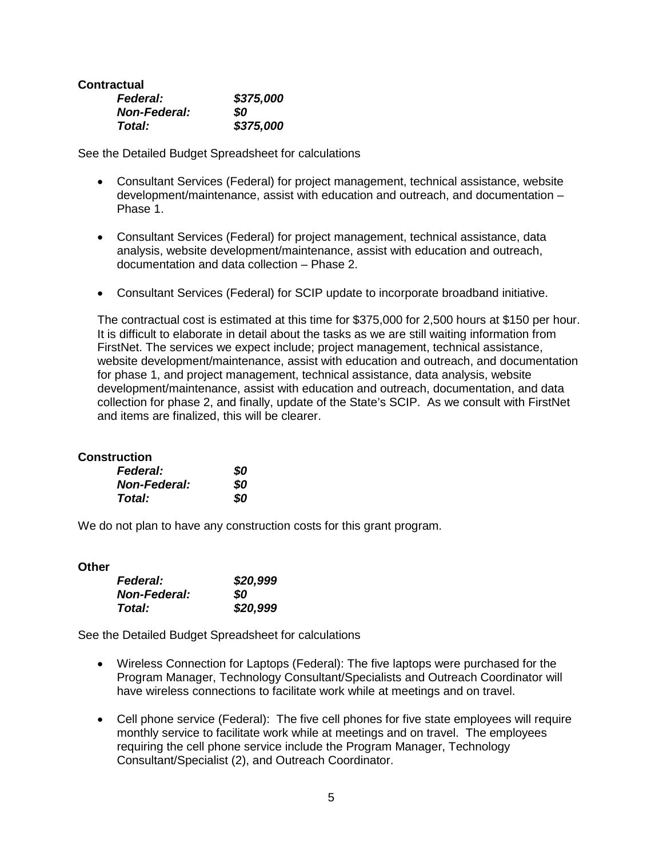## **Contractual**

| <b>Federal:</b>     | \$375,000 |
|---------------------|-----------|
| <b>Non-Federal:</b> | SO.       |
| Total:              | \$375,000 |

See the Detailed Budget Spreadsheet for calculations

- Consultant Services (Federal) for project management, technical assistance, website development/maintenance, assist with education and outreach, and documentation – Phase 1.
- Consultant Services (Federal) for project management, technical assistance, data analysis, website development/maintenance, assist with education and outreach, documentation and data collection – Phase 2.
- Consultant Services (Federal) for SCIP update to incorporate broadband initiative.

The contractual cost is estimated at this time for \$375,000 for 2,500 hours at \$150 per hour. It is difficult to elaborate in detail about the tasks as we are still waiting information from FirstNet. The services we expect include; project management, technical assistance, website development/maintenance, assist with education and outreach, and documentation for phase 1, and project management, technical assistance, data analysis, website development/maintenance, assist with education and outreach, documentation, and data collection for phase 2, and finally, update of the State's SCIP. As we consult with FirstNet and items are finalized, this will be clearer.

### **Construction**

| <b>Federal:</b>     | 80 |
|---------------------|----|
| <b>Non-Federal:</b> | 80 |
| Total:              | 80 |

We do not plan to have any construction costs for this grant program.

#### **Other**

| <b>Federal:</b>     | \$20,999 |
|---------------------|----------|
| <b>Non-Federal:</b> | SO.      |
| Total:              | \$20,999 |

See the Detailed Budget Spreadsheet for calculations

- Wireless Connection for Laptops (Federal): The five laptops were purchased for the Program Manager, Technology Consultant/Specialists and Outreach Coordinator will have wireless connections to facilitate work while at meetings and on travel.
- Cell phone service (Federal): The five cell phones for five state employees will require monthly service to facilitate work while at meetings and on travel. The employees requiring the cell phone service include the Program Manager, Technology Consultant/Specialist (2), and Outreach Coordinator.